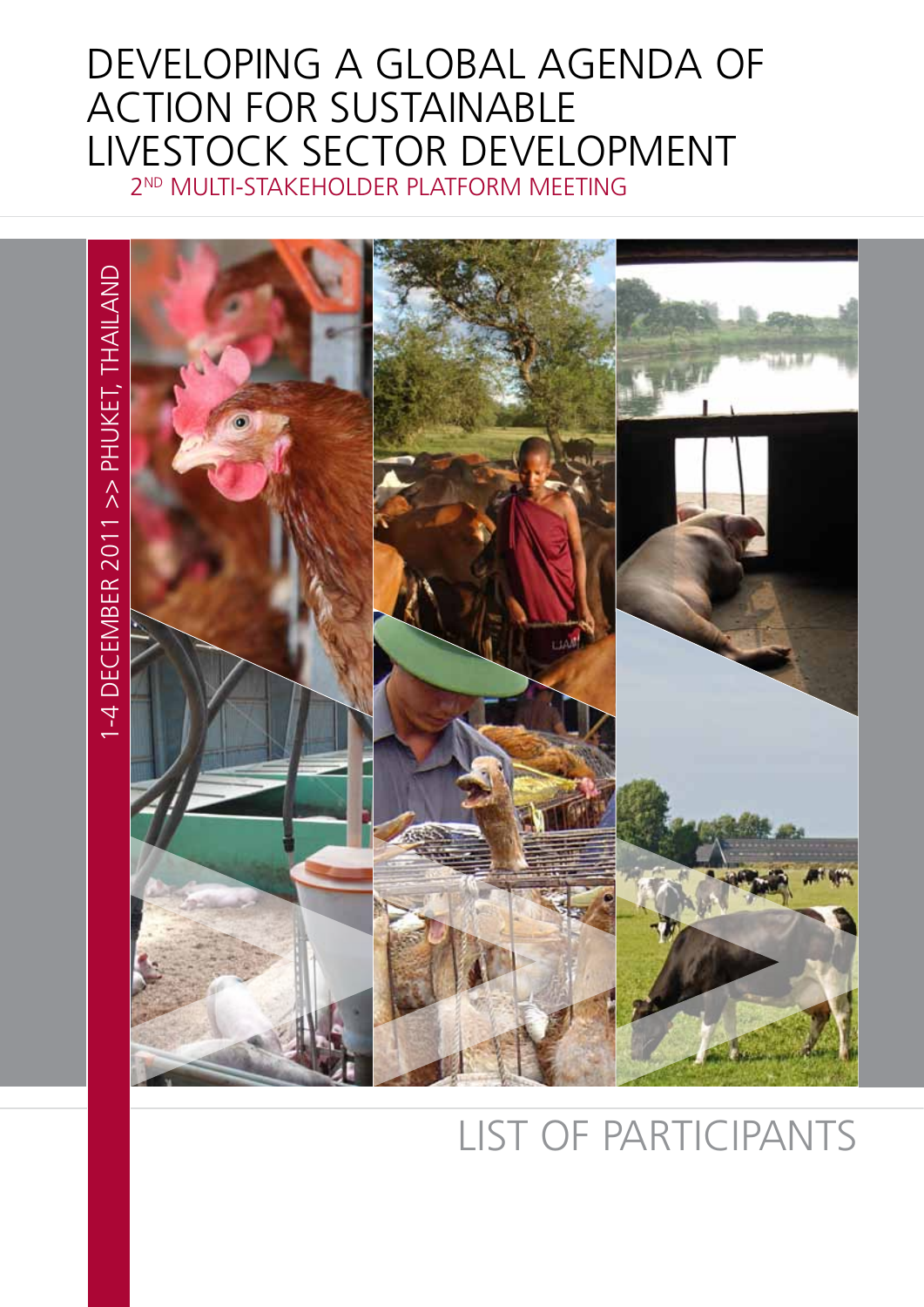## Developing a Global Agenda of Action for Sustainable Livestock Sector Development 2nd Multi-Stakeholder Platform meeting



## list of participants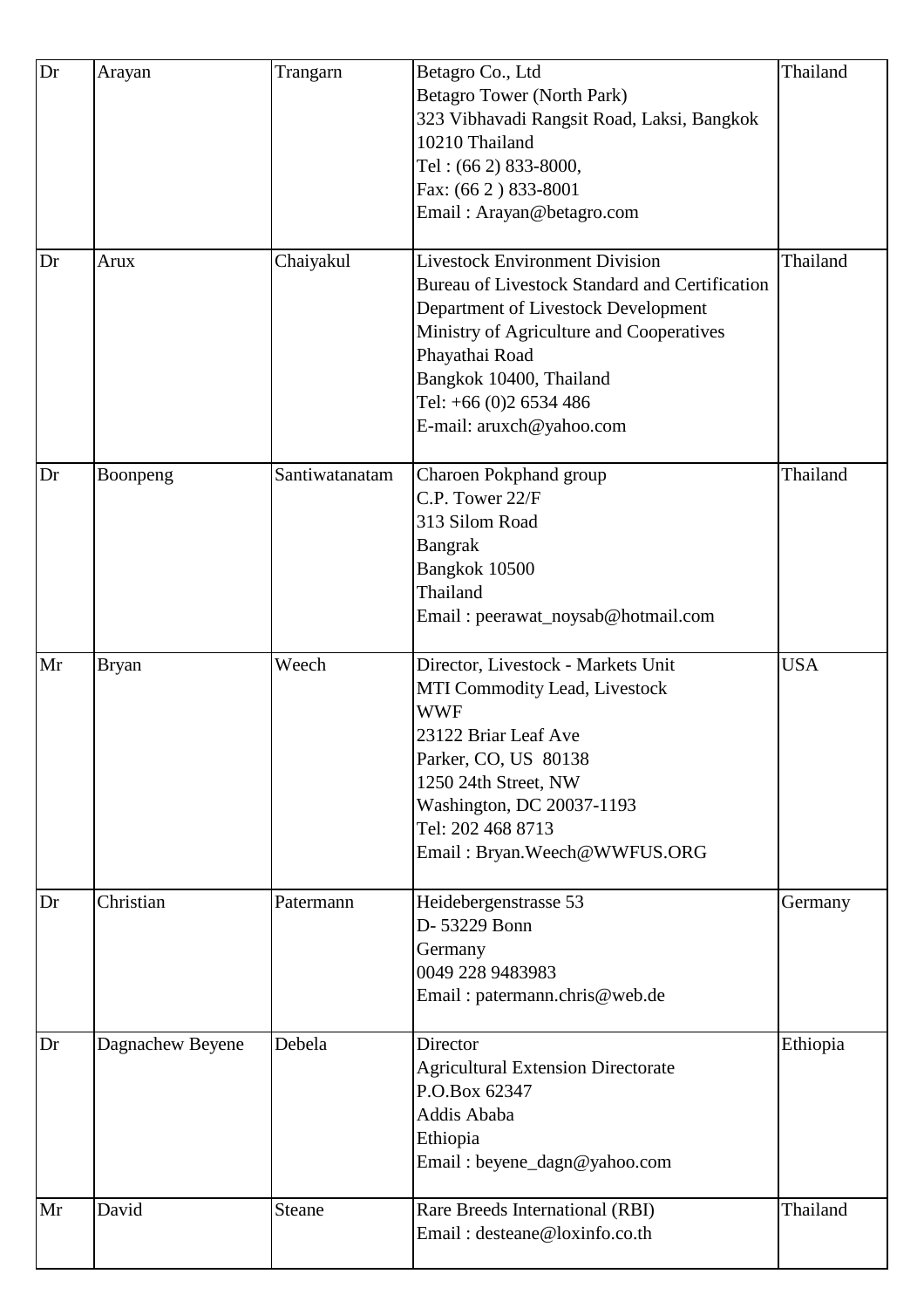| Dr | Arayan           | Trangarn       | Betagro Co., Ltd                               | Thailand   |
|----|------------------|----------------|------------------------------------------------|------------|
|    |                  |                | Betagro Tower (North Park)                     |            |
|    |                  |                | 323 Vibhavadi Rangsit Road, Laksi, Bangkok     |            |
|    |                  |                | 10210 Thailand                                 |            |
|    |                  |                | Tel: (66 2) 833-8000,                          |            |
|    |                  |                | Fax: (66 2) 833-8001                           |            |
|    |                  |                | Email: Arayan@betagro.com                      |            |
|    |                  |                |                                                |            |
| Dr | Arux             | Chaiyakul      | <b>Livestock Environment Division</b>          | Thailand   |
|    |                  |                | Bureau of Livestock Standard and Certification |            |
|    |                  |                | Department of Livestock Development            |            |
|    |                  |                | Ministry of Agriculture and Cooperatives       |            |
|    |                  |                | Phayathai Road                                 |            |
|    |                  |                | Bangkok 10400, Thailand                        |            |
|    |                  |                | Tel: +66 (0)2 6534 486                         |            |
|    |                  |                | E-mail: aruxch@yahoo.com                       |            |
| Dr | Boonpeng         | Santiwatanatam | Charoen Pokphand group                         | Thailand   |
|    |                  |                | C.P. Tower 22/F                                |            |
|    |                  |                | 313 Silom Road                                 |            |
|    |                  |                | <b>Bangrak</b>                                 |            |
|    |                  |                | Bangkok 10500                                  |            |
|    |                  |                | Thailand                                       |            |
|    |                  |                | Email: peerawat_noysab@hotmail.com             |            |
|    |                  |                |                                                |            |
| Mr | <b>Bryan</b>     | Weech          | Director, Livestock - Markets Unit             | <b>USA</b> |
|    |                  |                | MTI Commodity Lead, Livestock                  |            |
|    |                  |                | <b>WWF</b>                                     |            |
|    |                  |                | 23122 Briar Leaf Ave                           |            |
|    |                  |                | Parker, CO, US 80138                           |            |
|    |                  |                | 1250 24th Street, NW                           |            |
|    |                  |                | Washington, DC 20037-1193                      |            |
|    |                  |                | Tel: 202 468 8713                              |            |
|    |                  |                | Email: Bryan. Weech@WWFUS.ORG                  |            |
| Dr | Christian        | Patermann      | Heidebergenstrasse 53                          | Germany    |
|    |                  |                | D-53229 Bonn                                   |            |
|    |                  |                | Germany                                        |            |
|    |                  |                | 0049 228 9483983                               |            |
|    |                  |                | Email: patermann.chris@web.de                  |            |
|    |                  |                |                                                |            |
| Dr | Dagnachew Beyene | Debela         | Director                                       | Ethiopia   |
|    |                  |                | <b>Agricultural Extension Directorate</b>      |            |
|    |                  |                | P.O.Box 62347                                  |            |
|    |                  |                | Addis Ababa                                    |            |
|    |                  |                | Ethiopia                                       |            |
|    |                  |                | Email: beyene_dagn@yahoo.com                   |            |
| Mr | David            | <b>Steane</b>  | Rare Breeds International (RBI)                | Thailand   |
|    |                  |                | Email: desteane@loxinfo.co.th                  |            |
|    |                  |                |                                                |            |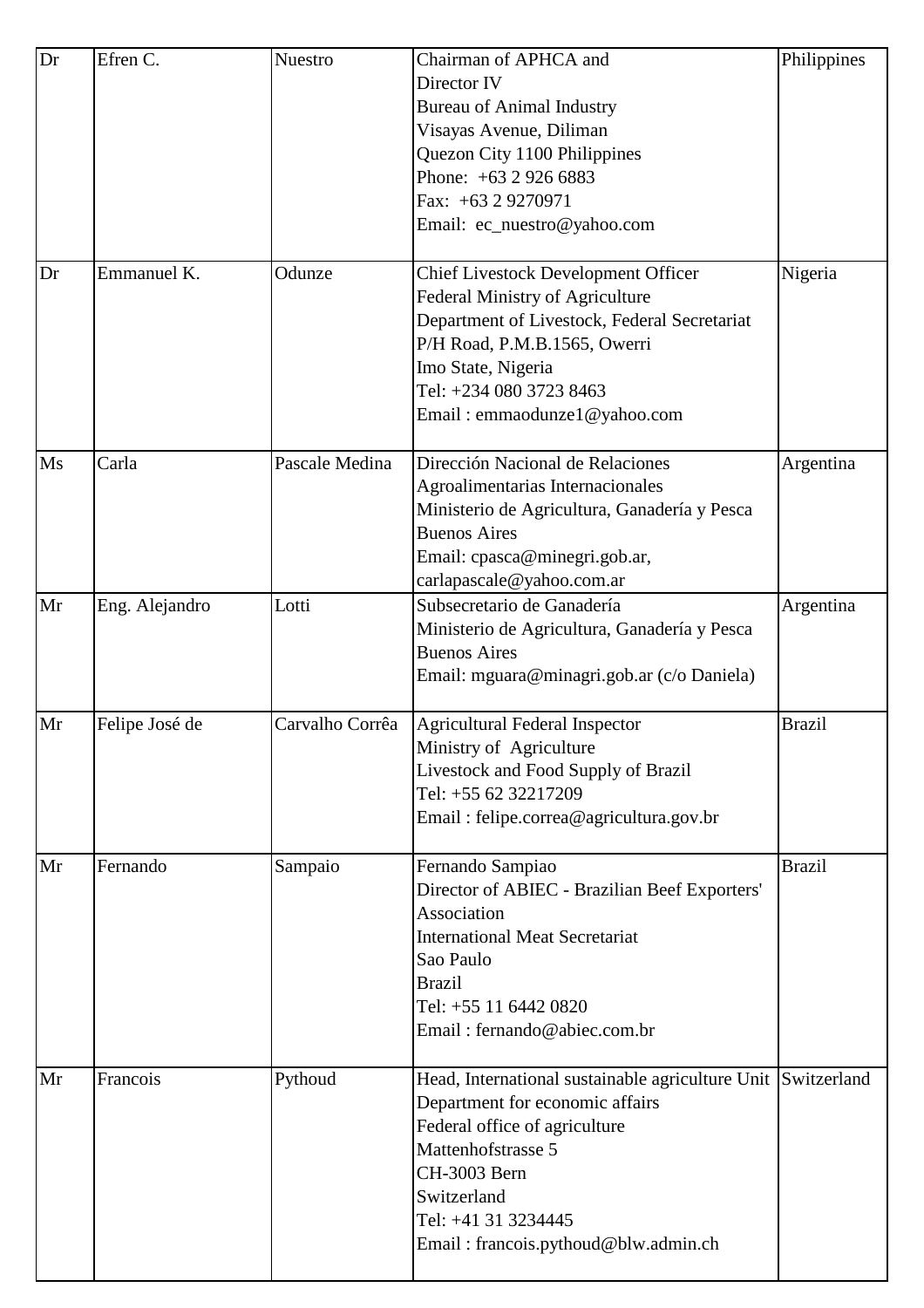| Dr | Efren C.       | <b>Nuestro</b>  | Chairman of APHCA and<br>Director IV<br><b>Bureau of Animal Industry</b><br>Visayas Avenue, Diliman<br>Quezon City 1100 Philippines<br>Phone: $+6329266883$<br>Fax: +63 2 9270971<br>Email: ec_nuestro@yahoo.com                                     | Philippines   |
|----|----------------|-----------------|------------------------------------------------------------------------------------------------------------------------------------------------------------------------------------------------------------------------------------------------------|---------------|
| Dr | Emmanuel K.    | Odunze          | <b>Chief Livestock Development Officer</b><br>Federal Ministry of Agriculture<br>Department of Livestock, Federal Secretariat<br>P/H Road, P.M.B.1565, Owerri<br>Imo State, Nigeria<br>Tel: +234 080 3723 8463<br>Email: emmaodunze1@yahoo.com       | Nigeria       |
| Ms | Carla          | Pascale Medina  | Dirección Nacional de Relaciones<br>Agroalimentarias Internacionales<br>Ministerio de Agricultura, Ganadería y Pesca<br><b>Buenos Aires</b><br>Email: cpasca@minegri.gob.ar,<br>carlapascale@yahoo.com.ar                                            | Argentina     |
| Mr | Eng. Alejandro | Lotti           | Subsecretario de Ganadería<br>Ministerio de Agricultura, Ganadería y Pesca<br><b>Buenos Aires</b><br>Email: mguara@minagri.gob.ar (c/o Daniela)                                                                                                      | Argentina     |
| Mr | Felipe José de | Carvalho Corrêa | Agricultural Federal Inspector<br>Ministry of Agriculture<br>Livestock and Food Supply of Brazil<br>Tel: +55 62 32217209<br>Email: felipe.correa@agricultura.gov.br                                                                                  | <b>Brazil</b> |
| Mr | Fernando       | Sampaio         | Fernando Sampiao<br>Director of ABIEC - Brazilian Beef Exporters'<br>Association<br><b>International Meat Secretariat</b><br>Sao Paulo<br><b>Brazil</b><br>Tel: +55 11 6442 0820<br>Email: fernando@abiec.com.br                                     | <b>Brazil</b> |
| Mr | Francois       | Pythoud         | Head, International sustainable agriculture Unit Switzerland<br>Department for economic affairs<br>Federal office of agriculture<br>Mattenhofstrasse 5<br>CH-3003 Bern<br>Switzerland<br>Tel: +41 31 3234445<br>Email: francois.pythoud@blw.admin.ch |               |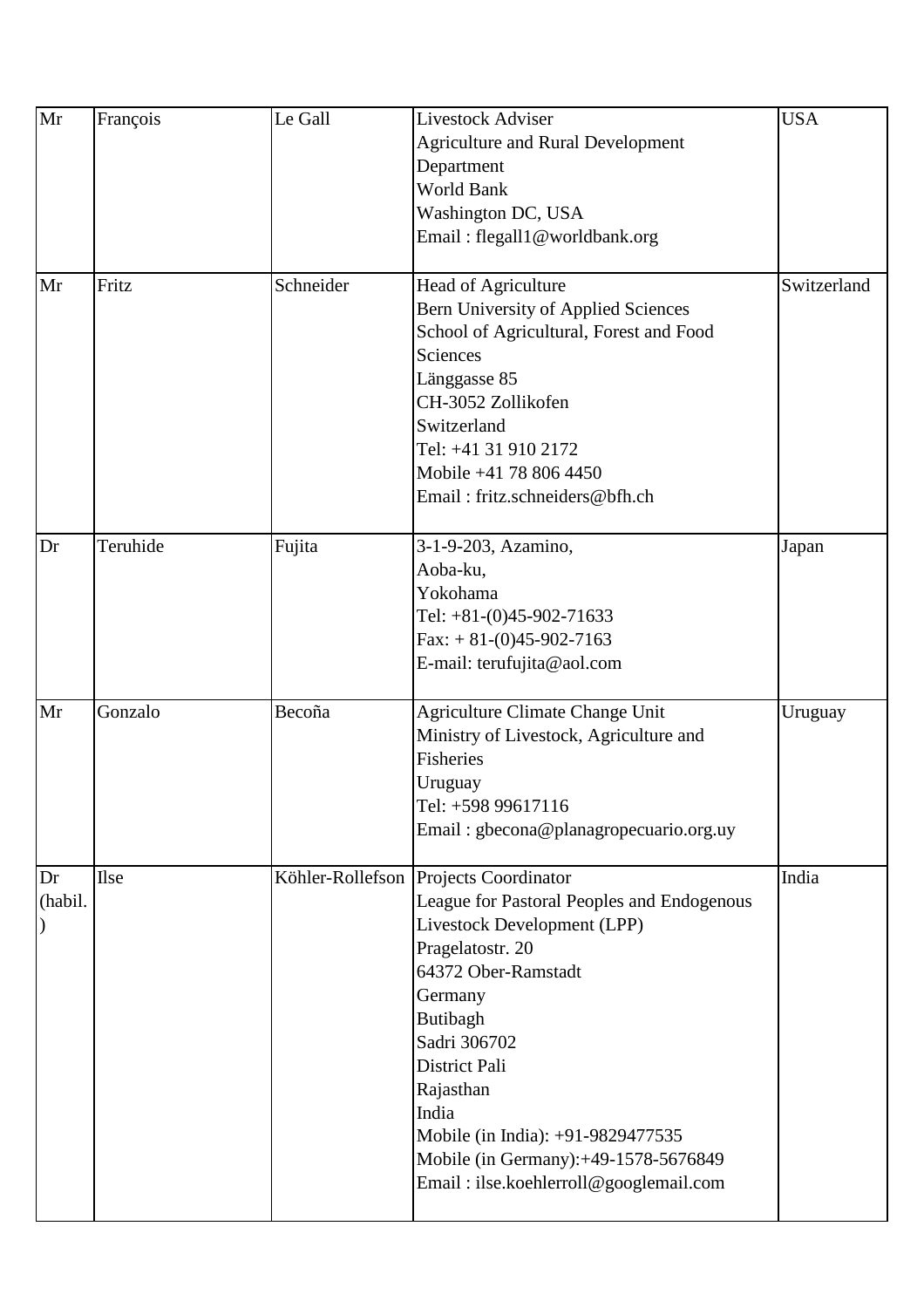| Mr      | François    | Le Gall   | <b>Livestock Adviser</b><br><b>Agriculture and Rural Development</b>           | <b>USA</b>  |
|---------|-------------|-----------|--------------------------------------------------------------------------------|-------------|
|         |             |           | Department                                                                     |             |
|         |             |           | <b>World Bank</b>                                                              |             |
|         |             |           | Washington DC, USA<br>Email: flegall1@worldbank.org                            |             |
|         |             |           |                                                                                |             |
| Mr      | Fritz       | Schneider | Head of Agriculture                                                            | Switzerland |
|         |             |           | Bern University of Applied Sciences                                            |             |
|         |             |           | School of Agricultural, Forest and Food                                        |             |
|         |             |           | Sciences                                                                       |             |
|         |             |           | Länggasse 85<br>CH-3052 Zollikofen                                             |             |
|         |             |           | Switzerland                                                                    |             |
|         |             |           | Tel: +41 31 910 2172                                                           |             |
|         |             |           | Mobile +41 78 806 4450                                                         |             |
|         |             |           | Email: fritz.schneiders@bfh.ch                                                 |             |
|         |             |           |                                                                                |             |
| Dr      | Teruhide    | Fujita    | 3-1-9-203, Azamino,                                                            | Japan       |
|         |             |           | Aoba-ku,                                                                       |             |
|         |             |           | Yokohama                                                                       |             |
|         |             |           | Tel: $+81-(0)45-902-71633$                                                     |             |
|         |             |           | $\text{Fax}: +81-(0)45-902-7163$                                               |             |
|         |             |           | E-mail: terufujita@aol.com                                                     |             |
| Mr      | Gonzalo     | Becoña    | Agriculture Climate Change Unit                                                | Uruguay     |
|         |             |           | Ministry of Livestock, Agriculture and                                         |             |
|         |             |           | Fisheries                                                                      |             |
|         |             |           | Uruguay                                                                        |             |
|         |             |           | Tel: +598 99617116<br>Email: gbecona@planagropecuario.org.uy                   |             |
|         |             |           |                                                                                |             |
| Dr      | <b>Ilse</b> |           | Köhler-Rollefson Projects Coordinator                                          | India       |
| (habil. |             |           | League for Pastoral Peoples and Endogenous                                     |             |
|         |             |           | Livestock Development (LPP)                                                    |             |
|         |             |           | Pragelatostr. 20                                                               |             |
|         |             |           | 64372 Ober-Ramstadt                                                            |             |
|         |             |           | Germany                                                                        |             |
|         |             |           | Butibagh                                                                       |             |
|         |             |           | Sadri 306702                                                                   |             |
|         |             |           | District Pali                                                                  |             |
|         |             |           | Rajasthan                                                                      |             |
|         |             |           | India                                                                          |             |
|         |             |           | Mobile (in India): +91-9829477535                                              |             |
|         |             |           | Mobile (in Germany):+49-1578-5676849<br>Email: ilse.koehlerroll@googlemail.com |             |
|         |             |           |                                                                                |             |
|         |             |           |                                                                                |             |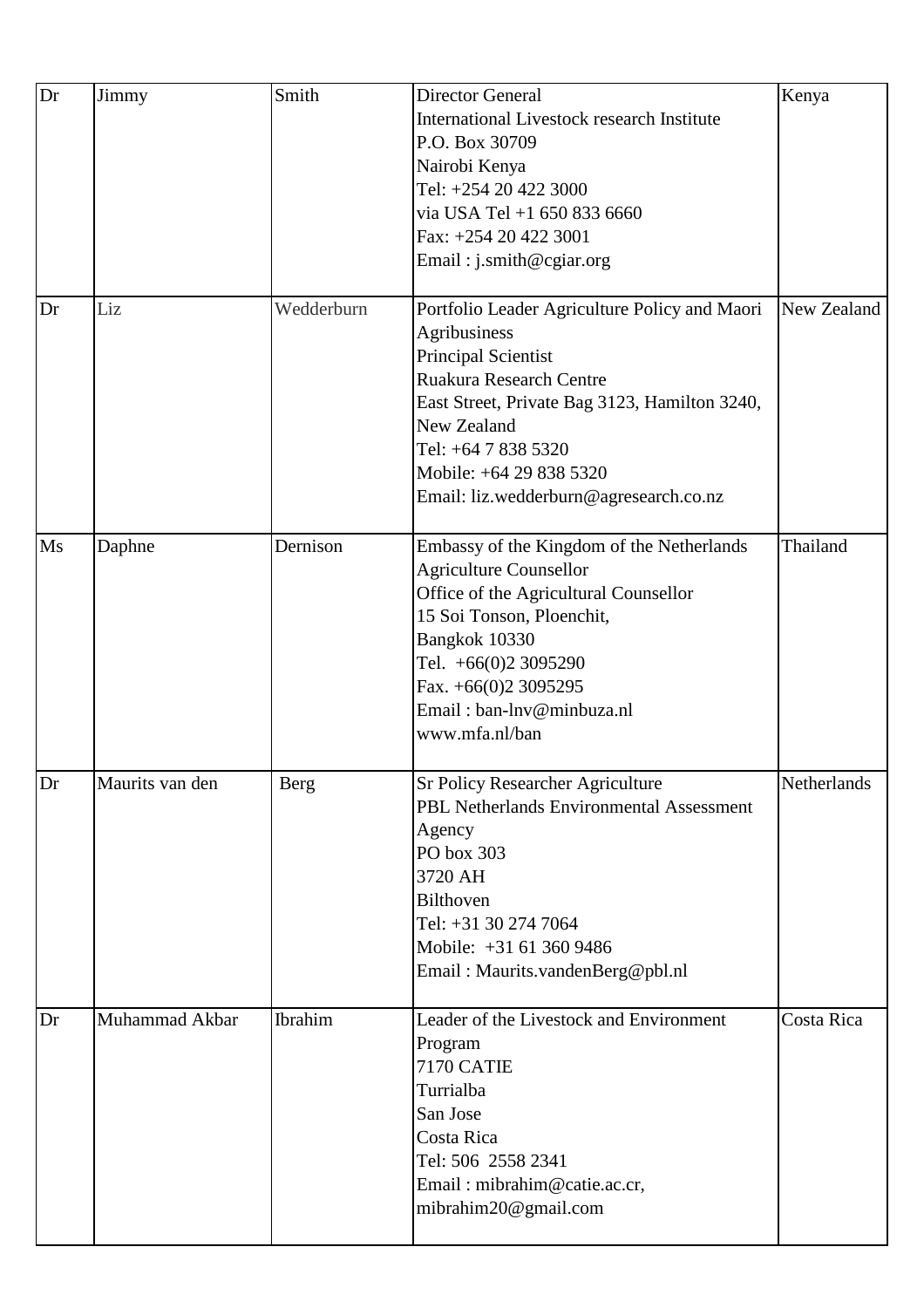| Dr | Jimmy           | Smith          | <b>Director General</b>                           | Kenya       |
|----|-----------------|----------------|---------------------------------------------------|-------------|
|    |                 |                | <b>International Livestock research Institute</b> |             |
|    |                 |                | P.O. Box 30709                                    |             |
|    |                 |                | Nairobi Kenya                                     |             |
|    |                 |                | Tel: +254 20 422 3000                             |             |
|    |                 |                | via USA Tel +1 650 833 6660                       |             |
|    |                 |                |                                                   |             |
|    |                 |                | Fax: +254 20 422 3001                             |             |
|    |                 |                | Email: j.smith@cgiar.org                          |             |
| Dr | Liz             | Wedderburn     | Portfolio Leader Agriculture Policy and Maori     | New Zealand |
|    |                 |                | Agribusiness                                      |             |
|    |                 |                | <b>Principal Scientist</b>                        |             |
|    |                 |                | Ruakura Research Centre                           |             |
|    |                 |                |                                                   |             |
|    |                 |                | East Street, Private Bag 3123, Hamilton 3240,     |             |
|    |                 |                | New Zealand                                       |             |
|    |                 |                | Tel: +64 7 838 5320                               |             |
|    |                 |                | Mobile: +64 29 838 5320                           |             |
|    |                 |                | Email: liz.wedderburn@agresearch.co.nz            |             |
| Ms | Daphne          | Dernison       | Embassy of the Kingdom of the Netherlands         | Thailand    |
|    |                 |                | <b>Agriculture Counsellor</b>                     |             |
|    |                 |                | Office of the Agricultural Counsellor             |             |
|    |                 |                | 15 Soi Tonson, Ploenchit,                         |             |
|    |                 |                |                                                   |             |
|    |                 |                | Bangkok 10330                                     |             |
|    |                 |                | Tel. +66(0)2 3095290                              |             |
|    |                 |                | Fax. $+66(0)2$ 3095295                            |             |
|    |                 |                | Email: ban-lnv@minbuza.nl                         |             |
|    |                 |                | www.mfa.nl/ban                                    |             |
| Dr | Maurits van den | Berg           | <b>Sr Policy Researcher Agriculture</b>           | Netherlands |
|    |                 |                | PBL Netherlands Environmental Assessment          |             |
|    |                 |                | Agency                                            |             |
|    |                 |                | PO box 303                                        |             |
|    |                 |                | 3720 AH                                           |             |
|    |                 |                | <b>Bilthoven</b>                                  |             |
|    |                 |                | Tel: +31 30 274 7064                              |             |
|    |                 |                | Mobile: +31 61 360 9486                           |             |
|    |                 |                |                                                   |             |
|    |                 |                | Email: Maurits.vandenBerg@pbl.nl                  |             |
| Dr | Muhammad Akbar  | <b>Ibrahim</b> | Leader of the Livestock and Environment           | Costa Rica  |
|    |                 |                | Program                                           |             |
|    |                 |                | <b>7170 CATIE</b>                                 |             |
|    |                 |                | Turrialba                                         |             |
|    |                 |                | San Jose                                          |             |
|    |                 |                | Costa Rica                                        |             |
|    |                 |                | Tel: 506 2558 2341                                |             |
|    |                 |                | Email: mibrahim@catie.ac.cr,                      |             |
|    |                 |                | mibrahim20@gmail.com                              |             |
|    |                 |                |                                                   |             |
|    |                 |                |                                                   |             |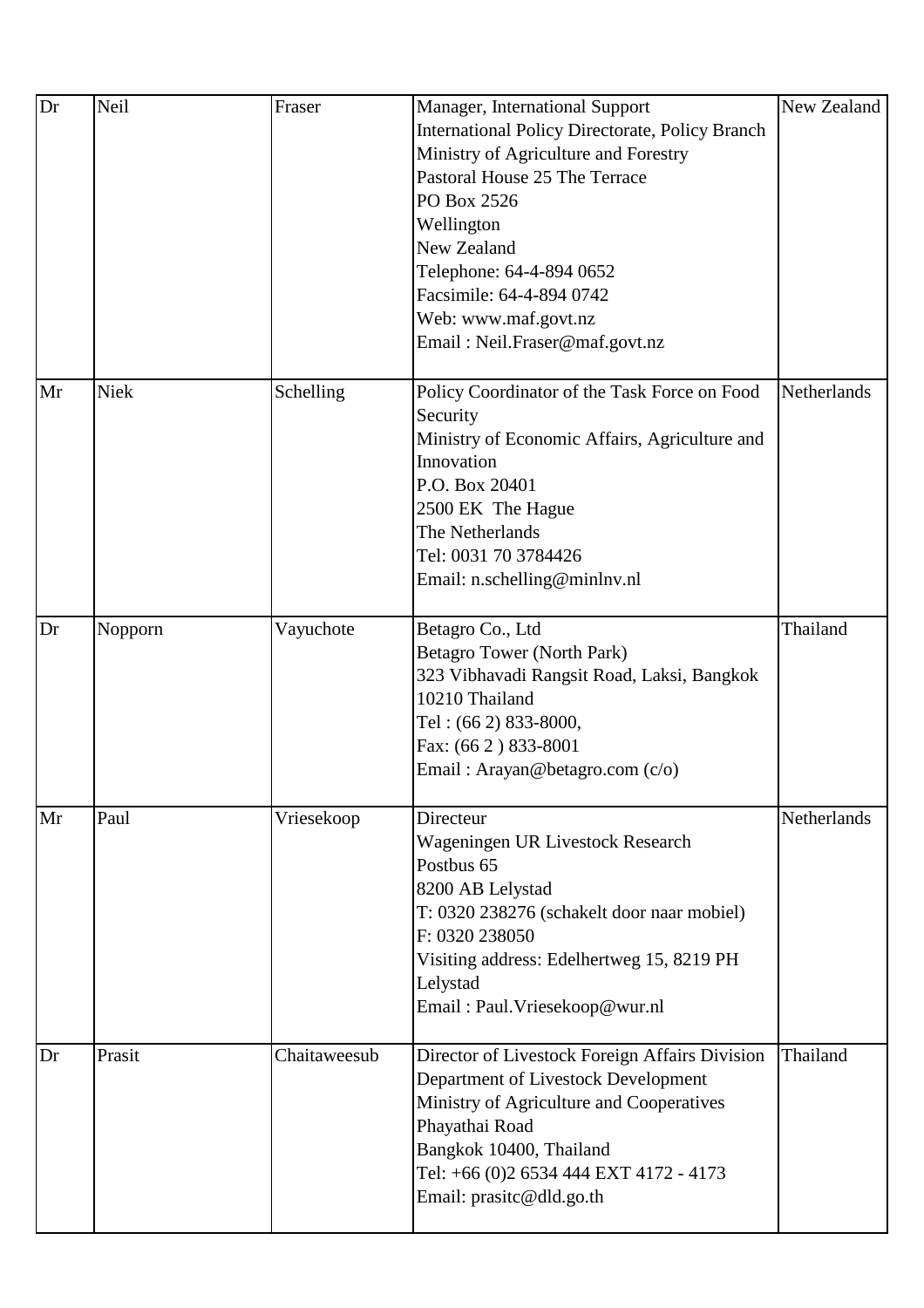| Dr | Neil        | Fraser       | Manager, International Support<br><b>International Policy Directorate, Policy Branch</b><br>Ministry of Agriculture and Forestry<br>Pastoral House 25 The Terrace<br>PO Box 2526<br>Wellington<br>New Zealand<br>Telephone: 64-4-894 0652<br>Facsimile: 64-4-894 0742<br>Web: www.maf.govt.nz<br>Email: Neil.Fraser@maf.govt.nz | New Zealand |
|----|-------------|--------------|---------------------------------------------------------------------------------------------------------------------------------------------------------------------------------------------------------------------------------------------------------------------------------------------------------------------------------|-------------|
| Mr | <b>Niek</b> | Schelling    | Policy Coordinator of the Task Force on Food<br>Security<br>Ministry of Economic Affairs, Agriculture and<br>Innovation<br>P.O. Box 20401<br>2500 EK The Hague<br>The Netherlands<br>Tel: 0031 70 3784426<br>Email: n.schelling@minlnv.nl                                                                                       | Netherlands |
| Dr | Nopporn     | Vayuchote    | Betagro Co., Ltd<br>Betagro Tower (North Park)<br>323 Vibhavadi Rangsit Road, Laksi, Bangkok<br>10210 Thailand<br>Tel: (66 2) 833-8000,<br>Fax: (66 2) 833-8001<br>Email: Arayan@betagro.com (c/o)                                                                                                                              | Thailand    |
| Mr | Paul        | Vriesekoop   | Directeur<br>Wageningen UR Livestock Research<br>Postbus 65<br>8200 AB Lelystad<br>T: 0320 238276 (schakelt door naar mobiel)<br>F: 0320 238050<br>Visiting address: Edelhertweg 15, 8219 PH<br>Lelystad<br>Email: Paul. Vriesekoop@wur.nl                                                                                      | Netherlands |
| Dr | Prasit      | Chaitaweesub | Director of Livestock Foreign Affairs Division<br>Department of Livestock Development<br>Ministry of Agriculture and Cooperatives<br>Phayathai Road<br>Bangkok 10400, Thailand<br>Tel: +66 (0)2 6534 444 EXT 4172 - 4173<br>Email: prasite@dld.go.th                                                                            | Thailand    |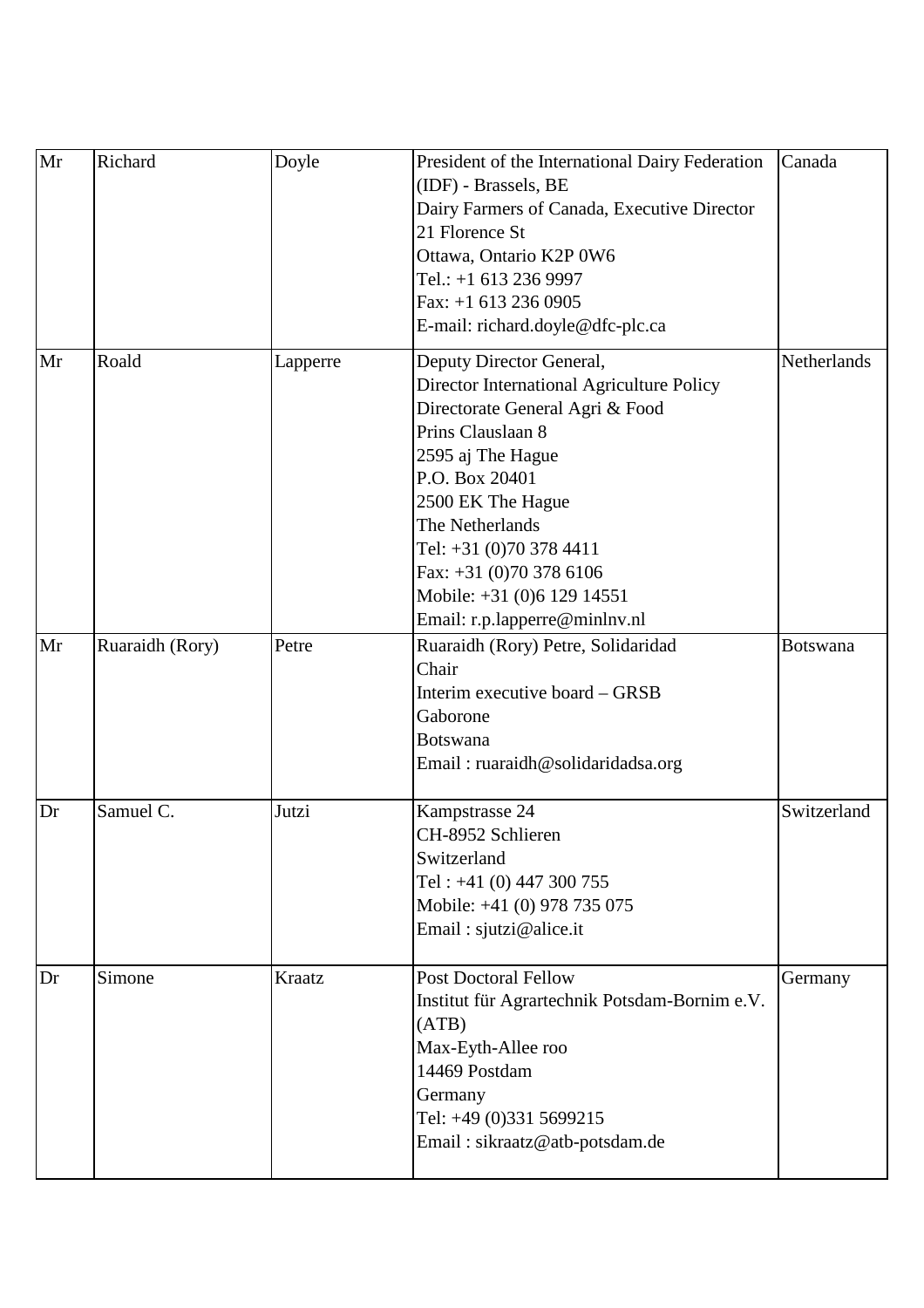| Mr | Richard         | Doyle    | President of the International Dairy Federation<br>(IDF) - Brassels, BE<br>Dairy Farmers of Canada, Executive Director<br>21 Florence St<br>Ottawa, Ontario K2P 0W6<br>Tel.: +1 613 236 9997<br>Fax: $+1$ 613 236 0905<br>E-mail: richard.doyle@dfc-plc.ca                                                                        | Canada          |
|----|-----------------|----------|-----------------------------------------------------------------------------------------------------------------------------------------------------------------------------------------------------------------------------------------------------------------------------------------------------------------------------------|-----------------|
| Mr | Roald           | Lapperre | Deputy Director General,<br>Director International Agriculture Policy<br>Directorate General Agri & Food<br>Prins Clauslaan 8<br>2595 aj The Hague<br>P.O. Box 20401<br>2500 EK The Hague<br>The Netherlands<br>Tel: +31 (0)70 378 4411<br>Fax: +31 (0)70 378 6106<br>Mobile: +31 (0)6 129 14551<br>Email: r.p.lapperre@minlnv.nl | Netherlands     |
| Mr | Ruaraidh (Rory) | Petre    | Ruaraidh (Rory) Petre, Solidaridad<br>Chair<br>Interim executive board - GRSB<br>Gaborone<br><b>Botswana</b><br>Email: ruaraidh@solidaridadsa.org                                                                                                                                                                                 | <b>Botswana</b> |
| Dr | Samuel C.       | Jutzi    | Kampstrasse 24<br>CH-8952 Schlieren<br>Switzerland<br>Tel: $+41$ (0) 447 300 755<br>Mobile: +41 (0) 978 735 075<br>Email: sjutzi@alice.it                                                                                                                                                                                         | Switzerland     |
| Dr | Simone          | Kraatz   | <b>Post Doctoral Fellow</b><br>Institut für Agrartechnik Potsdam-Bornim e.V.<br>(ATB)<br>Max-Eyth-Allee roo<br>14469 Postdam<br>Germany<br>Tel: +49 (0)331 5699215<br>Email: sikraatz@atb-potsdam.de                                                                                                                              | Germany         |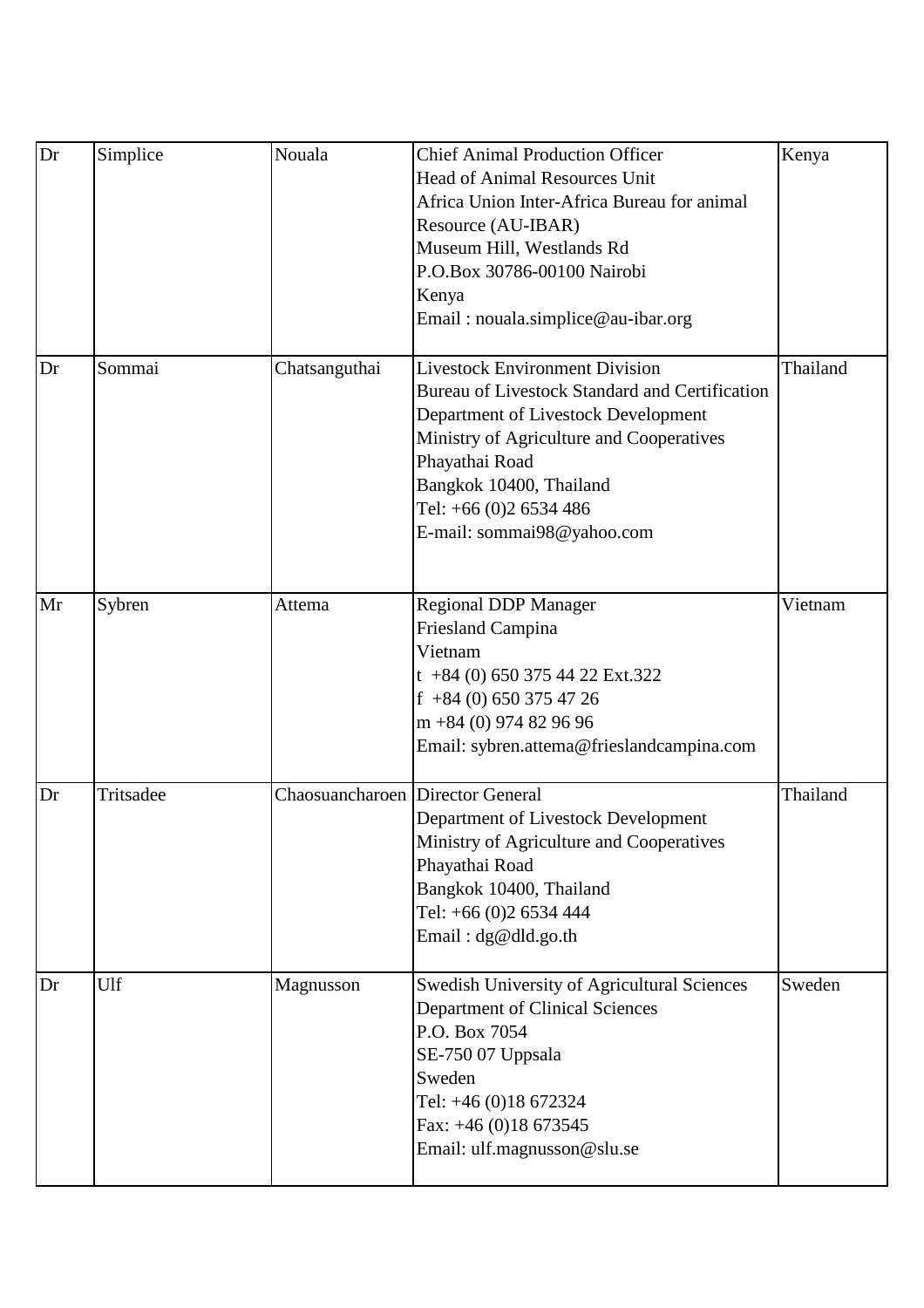| Dr | Simplice  | Nouala                           | <b>Chief Animal Production Officer</b><br><b>Head of Animal Resources Unit</b> | Kenya    |
|----|-----------|----------------------------------|--------------------------------------------------------------------------------|----------|
|    |           |                                  | Africa Union Inter-Africa Bureau for animal                                    |          |
|    |           |                                  | Resource (AU-IBAR)                                                             |          |
|    |           |                                  | Museum Hill, Westlands Rd                                                      |          |
|    |           |                                  | P.O.Box 30786-00100 Nairobi                                                    |          |
|    |           |                                  |                                                                                |          |
|    |           |                                  | Kenya<br>Email: nouala.simplice@au-ibar.org                                    |          |
|    |           |                                  |                                                                                |          |
| Dr | Sommai    | Chatsanguthai                    | <b>Livestock Environment Division</b>                                          | Thailand |
|    |           |                                  | <b>Bureau of Livestock Standard and Certification</b>                          |          |
|    |           |                                  | Department of Livestock Development                                            |          |
|    |           |                                  | Ministry of Agriculture and Cooperatives                                       |          |
|    |           |                                  | Phayathai Road                                                                 |          |
|    |           |                                  | Bangkok 10400, Thailand                                                        |          |
|    |           |                                  | Tel: +66 (0)2 6534 486                                                         |          |
|    |           |                                  | E-mail: sommai98@yahoo.com                                                     |          |
|    |           |                                  |                                                                                |          |
| Mr | Sybren    | Attema                           | <b>Regional DDP Manager</b>                                                    | Vietnam  |
|    |           |                                  | <b>Friesland Campina</b>                                                       |          |
|    |           |                                  | Vietnam                                                                        |          |
|    |           |                                  | $t + 84$ (0) 650 375 44 22 Ext.322                                             |          |
|    |           |                                  | $f + 84(0) 650 375 47 26$                                                      |          |
|    |           |                                  | $m + 84$ (0) 974 82 96 96                                                      |          |
|    |           |                                  | Email: sybren.attema@frieslandcampina.com                                      |          |
| Dr | Tritsadee | Chaosuancharoen Director General |                                                                                | Thailand |
|    |           |                                  | Department of Livestock Development                                            |          |
|    |           |                                  | Ministry of Agriculture and Cooperatives                                       |          |
|    |           |                                  | Phayathai Road                                                                 |          |
|    |           |                                  | Bangkok 10400, Thailand                                                        |          |
|    |           |                                  | Tel: +66 (0)2 6534 444                                                         |          |
|    |           |                                  | Email: dg@dld.go.th                                                            |          |
|    | Ulf       |                                  |                                                                                |          |
| Dr |           | Magnusson                        | Swedish University of Agricultural Sciences                                    | Sweden   |
|    |           |                                  | <b>Department of Clinical Sciences</b>                                         |          |
|    |           |                                  | P.O. Box 7054                                                                  |          |
|    |           |                                  | SE-750 07 Uppsala                                                              |          |
|    |           |                                  | Sweden                                                                         |          |
|    |           |                                  | Tel: +46 (0)18 672324                                                          |          |
|    |           |                                  | Fax: $+46$ (0)18 673545                                                        |          |
|    |           |                                  | Email: ulf.magnusson@slu.se                                                    |          |
|    |           |                                  |                                                                                |          |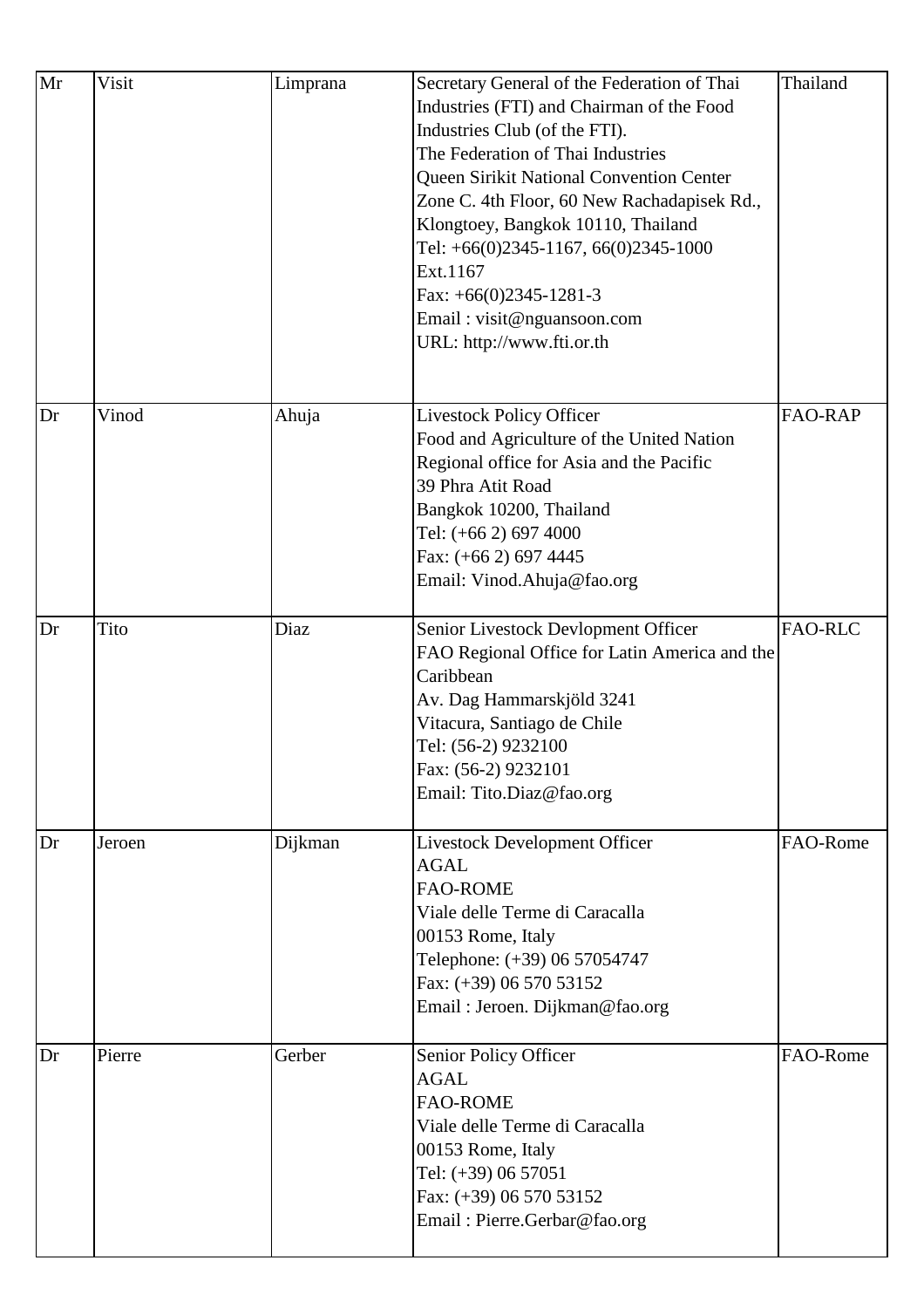| Mr | Visit  | Limprana | Secretary General of the Federation of Thai<br>Industries (FTI) and Chairman of the Food<br>Industries Club (of the FTI).<br>The Federation of Thai Industries<br>Queen Sirikit National Convention Center<br>Zone C. 4th Floor, 60 New Rachadapisek Rd.,<br>Klongtoey, Bangkok 10110, Thailand<br>Tel: $+66(0)2345-1167, 66(0)2345-1000$<br>Ext.1167<br>Fax: $+66(0)2345-1281-3$<br>Email: visit@nguansoon.com<br>URL: http://www.fti.or.th | Thailand       |
|----|--------|----------|----------------------------------------------------------------------------------------------------------------------------------------------------------------------------------------------------------------------------------------------------------------------------------------------------------------------------------------------------------------------------------------------------------------------------------------------|----------------|
| Dr | Vinod  | Ahuja    | <b>Livestock Policy Officer</b><br>Food and Agriculture of the United Nation<br>Regional office for Asia and the Pacific<br>39 Phra Atit Road<br>Bangkok 10200, Thailand<br>Tel: (+66 2) 697 4000<br>Fax: (+66 2) 697 4445<br>Email: Vinod.Ahuja@fao.org                                                                                                                                                                                     | <b>FAO-RAP</b> |
| Dr | Tito   | Diaz     | Senior Livestock Devlopment Officer<br>FAO Regional Office for Latin America and the<br>Caribbean<br>Av. Dag Hammarskjöld 3241<br>Vitacura, Santiago de Chile<br>Tel: (56-2) 9232100<br>Fax: (56-2) 9232101<br>Email: Tito.Diaz@fao.org                                                                                                                                                                                                      | <b>FAO-RLC</b> |
| Dr | Jeroen | Dijkman  | <b>Livestock Development Officer</b><br><b>AGAL</b><br><b>FAO-ROME</b><br>Viale delle Terme di Caracalla<br>00153 Rome, Italy<br>Telephone: (+39) 06 57054747<br>Fax: (+39) 06 570 53152<br>Email: Jeroen. Dijkman@fao.org                                                                                                                                                                                                                   | FAO-Rome       |
| Dr | Pierre | Gerber   | Senior Policy Officer<br><b>AGAL</b><br><b>FAO-ROME</b><br>Viale delle Terme di Caracalla<br>00153 Rome, Italy<br>Tel: (+39) 06 57051<br>Fax: (+39) 06 570 53152<br>Email: Pierre.Gerbar@fao.org                                                                                                                                                                                                                                             | FAO-Rome       |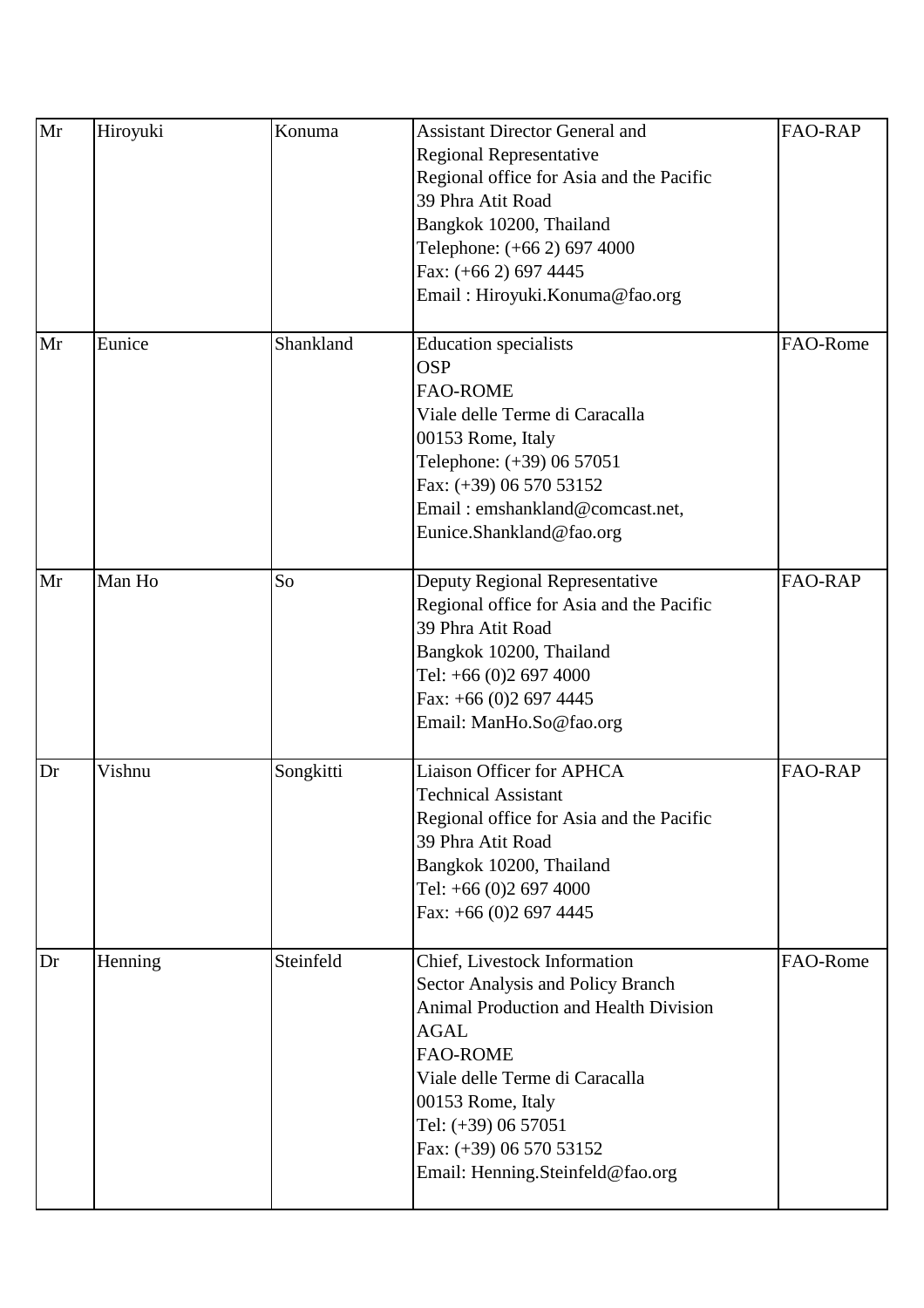| Mr | Hiroyuki | Konuma    | <b>Assistant Director General and</b><br><b>Regional Representative</b><br>Regional office for Asia and the Pacific<br>39 Phra Atit Road<br>Bangkok 10200, Thailand<br>Telephone: (+66 2) 697 4000<br>Fax: (+66 2) 697 4445<br>Email: Hiroyuki.Konuma@fao.org                                    | <b>FAO-RAP</b> |
|----|----------|-----------|--------------------------------------------------------------------------------------------------------------------------------------------------------------------------------------------------------------------------------------------------------------------------------------------------|----------------|
| Mr | Eunice   | Shankland | <b>Education</b> specialists<br><b>OSP</b><br><b>FAO-ROME</b><br>Viale delle Terme di Caracalla<br>00153 Rome, Italy<br>Telephone: (+39) 06 57051<br>Fax: (+39) 06 570 53152<br>Email: emshankland@comcast.net,<br>Eunice.Shankland@fao.org                                                      | FAO-Rome       |
| Mr | Man Ho   | So        | Deputy Regional Representative<br>Regional office for Asia and the Pacific<br>39 Phra Atit Road<br>Bangkok 10200, Thailand<br>Tel: +66 (0)2 697 4000<br>Fax: $+66$ (0)2 697 4445<br>Email: ManHo.So@fao.org                                                                                      | <b>FAO-RAP</b> |
| Dr | Vishnu   | Songkitti | <b>Liaison Officer for APHCA</b><br><b>Technical Assistant</b><br>Regional office for Asia and the Pacific<br>39 Phra Atit Road<br>Bangkok 10200, Thailand<br>Tel: +66 (0)2 697 4000<br>Fax: $+66$ (0)2 697 4445                                                                                 | <b>FAO-RAP</b> |
| Dr | Henning  | Steinfeld | Chief, Livestock Information<br>Sector Analysis and Policy Branch<br><b>Animal Production and Health Division</b><br><b>AGAL</b><br><b>FAO-ROME</b><br>Viale delle Terme di Caracalla<br>00153 Rome, Italy<br>Tel: (+39) 06 57051<br>Fax: (+39) 06 570 53152<br>Email: Henning.Steinfeld@fao.org | FAO-Rome       |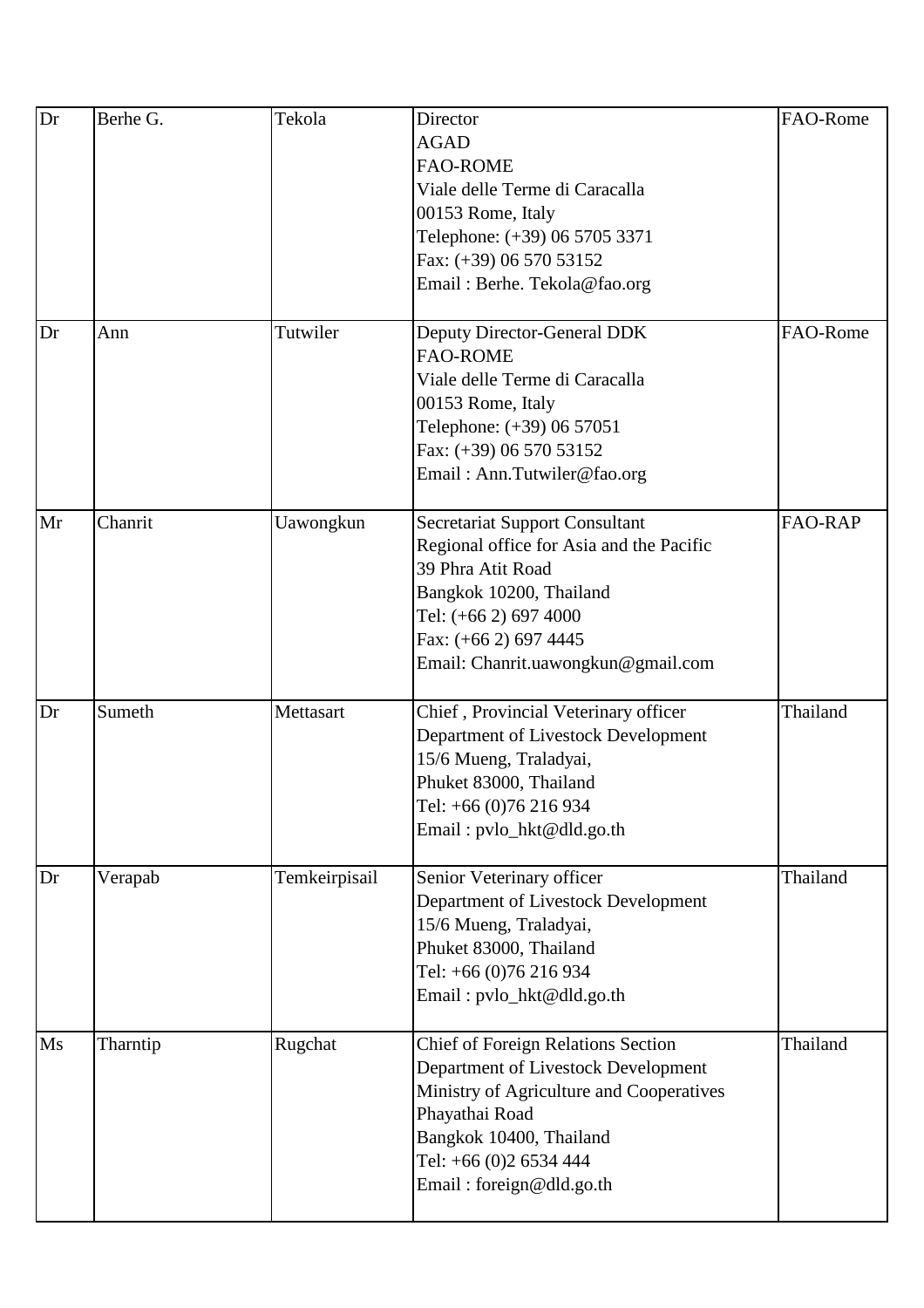| Dr | Berhe G. | Tekola        | Director                                  | FAO-Rome       |
|----|----------|---------------|-------------------------------------------|----------------|
|    |          |               | <b>AGAD</b>                               |                |
|    |          |               | <b>FAO-ROME</b>                           |                |
|    |          |               | Viale delle Terme di Caracalla            |                |
|    |          |               | 00153 Rome, Italy                         |                |
|    |          |               | Telephone: (+39) 06 5705 3371             |                |
|    |          |               | Fax: (+39) 06 570 53152                   |                |
|    |          |               | Email: Berhe. Tekola@fao.org              |                |
|    |          |               |                                           |                |
| Dr | Ann      | Tutwiler      | Deputy Director-General DDK               | FAO-Rome       |
|    |          |               | <b>FAO-ROME</b>                           |                |
|    |          |               | Viale delle Terme di Caracalla            |                |
|    |          |               | 00153 Rome, Italy                         |                |
|    |          |               | Telephone: (+39) 06 57051                 |                |
|    |          |               | Fax: (+39) 06 570 53152                   |                |
|    |          |               | Email: Ann.Tutwiler@fao.org               |                |
|    |          |               |                                           |                |
| Mr | Chanrit  | Uawongkun     | <b>Secretariat Support Consultant</b>     | <b>FAO-RAP</b> |
|    |          |               | Regional office for Asia and the Pacific  |                |
|    |          |               | 39 Phra Atit Road                         |                |
|    |          |               | Bangkok 10200, Thailand                   |                |
|    |          |               | Tel: (+66 2) 697 4000                     |                |
|    |          |               | Fax: (+66 2) 697 4445                     |                |
|    |          |               | Email: Chanrit.uawongkun@gmail.com        |                |
|    |          |               |                                           |                |
| Dr | Sumeth   | Mettasart     | Chief, Provincial Veterinary officer      | Thailand       |
|    |          |               | Department of Livestock Development       |                |
|    |          |               | 15/6 Mueng, Traladyai,                    |                |
|    |          |               | Phuket 83000, Thailand                    |                |
|    |          |               | Tel: +66 (0)76 216 934                    |                |
|    |          |               | Email: pvlo_hkt@dld.go.th                 |                |
|    |          |               |                                           |                |
| Dr | Verapab  | Temkeirpisail | Senior Veterinary officer                 | Thailand       |
|    |          |               | Department of Livestock Development       |                |
|    |          |               | 15/6 Mueng, Traladyai,                    |                |
|    |          |               | Phuket 83000, Thailand                    |                |
|    |          |               | Tel: +66 (0)76 216 934                    |                |
|    |          |               | Email: pvlo_hkt@dld.go.th                 |                |
|    |          |               |                                           |                |
| Ms | Tharntip | Rugchat       | <b>Chief of Foreign Relations Section</b> | Thailand       |
|    |          |               | Department of Livestock Development       |                |
|    |          |               | Ministry of Agriculture and Cooperatives  |                |
|    |          |               | Phayathai Road                            |                |
|    |          |               | Bangkok 10400, Thailand                   |                |
|    |          |               | Tel: +66 (0)2 6534 444                    |                |
|    |          |               | Email: foreign@dld.go.th                  |                |
|    |          |               |                                           |                |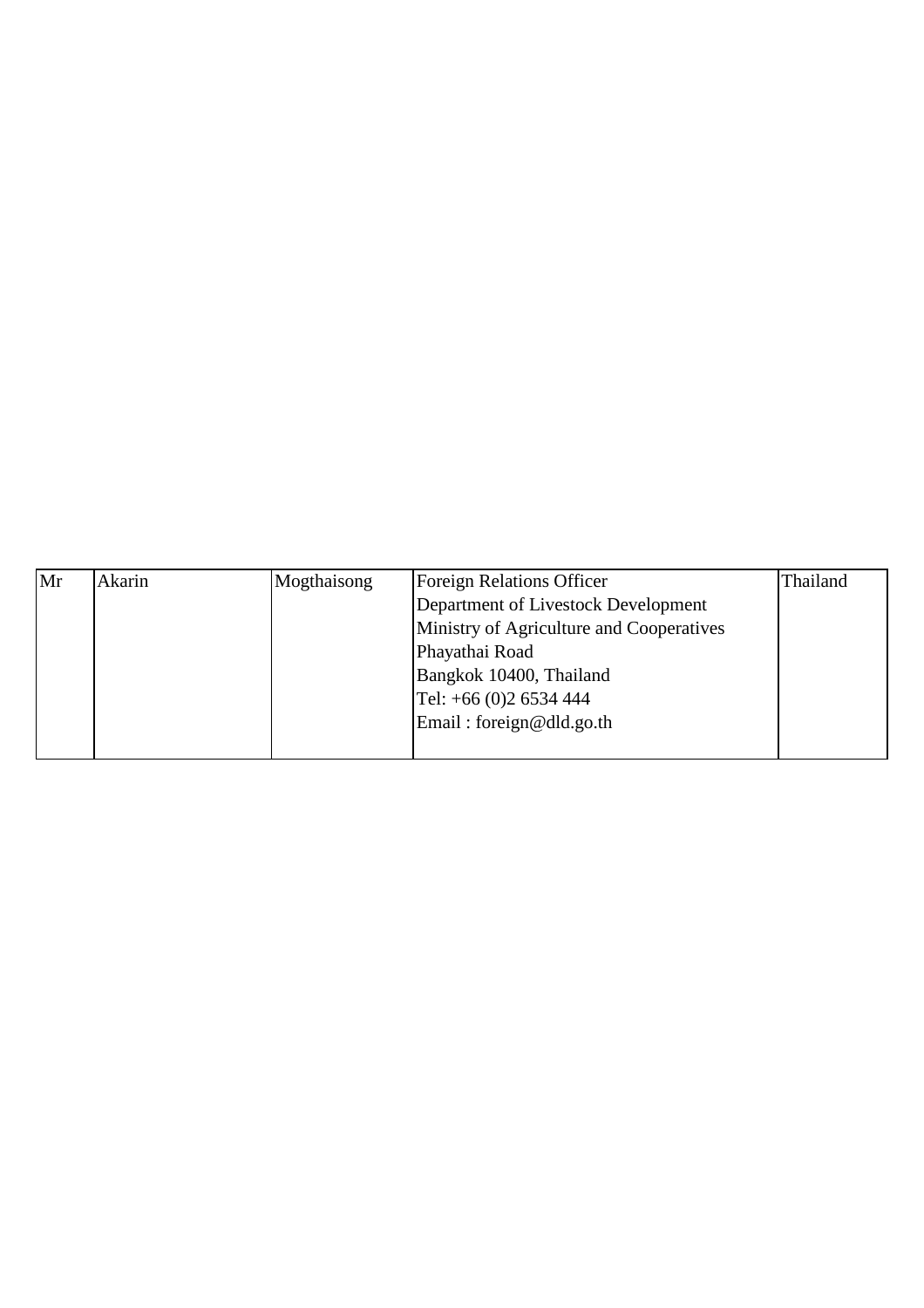| Mr | Akarin | Mogthaisong | <b>Foreign Relations Officer</b>         | Thailand |
|----|--------|-------------|------------------------------------------|----------|
|    |        |             | Department of Livestock Development      |          |
|    |        |             | Ministry of Agriculture and Cooperatives |          |
|    |        |             | Phayathai Road                           |          |
|    |        |             | Bangkok 10400, Thailand                  |          |
|    |        |             | Tel: $+66$ (0)2 6534 444                 |          |
|    |        |             | Email: foreign@dld.go.th                 |          |
|    |        |             |                                          |          |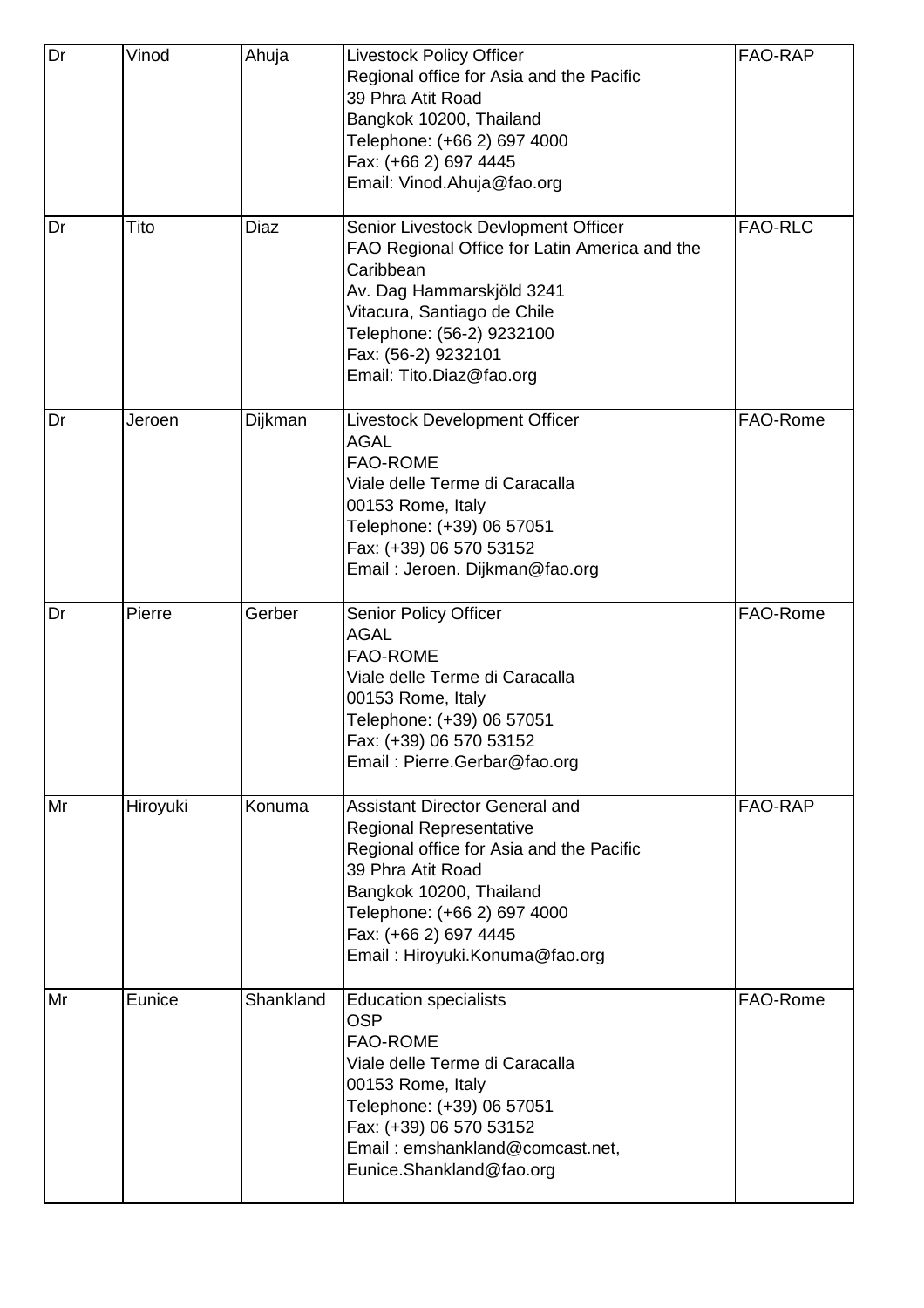| Dr | Vinod    | Ahuja     | <b>Livestock Policy Officer</b><br>Regional office for Asia and the Pacific<br>39 Phra Atit Road<br>Bangkok 10200, Thailand<br>Telephone: (+66 2) 697 4000<br>Fax: (+66 2) 697 4445<br>Email: Vinod.Ahuja@fao.org                                      | FAO-RAP        |
|----|----------|-----------|--------------------------------------------------------------------------------------------------------------------------------------------------------------------------------------------------------------------------------------------------------|----------------|
| Dr | Tito     | Diaz      | Senior Livestock Devlopment Officer<br>FAO Regional Office for Latin America and the<br>Caribbean<br>Av. Dag Hammarskjöld 3241<br>Vitacura, Santiago de Chile<br>Telephone: (56-2) 9232100<br>Fax: (56-2) 9232101<br>Email: Tito.Diaz@fao.org          | <b>FAO-RLC</b> |
| Dr | Jeroen   | Dijkman   | Livestock Development Officer<br><b>AGAL</b><br><b>FAO-ROME</b><br>Viale delle Terme di Caracalla<br>00153 Rome, Italy<br>Telephone: (+39) 06 57051<br>Fax: (+39) 06 570 53152<br>Email: Jeroen. Dijkman@fao.org                                       | FAO-Rome       |
| Dr | Pierre   | Gerber    | <b>Senior Policy Officer</b><br><b>AGAL</b><br><b>FAO-ROME</b><br>Viale delle Terme di Caracalla<br>00153 Rome, Italy<br>Telephone: (+39) 06 57051<br>Fax: (+39) 06 570 53152<br>Email: Pierre.Gerbar@fao.org                                          | FAO-Rome       |
| Mr | Hiroyuki | Konuma    | <b>Assistant Director General and</b><br>Regional Representative<br>Regional office for Asia and the Pacific<br>39 Phra Atit Road<br>Bangkok 10200, Thailand<br>Telephone: (+66 2) 697 4000<br>Fax: (+66 2) 697 4445<br>Email: Hiroyuki.Konuma@fao.org | FAO-RAP        |
| Mr | Eunice   | Shankland | <b>Education specialists</b><br><b>OSP</b><br><b>FAO-ROME</b><br>Viale delle Terme di Caracalla<br>00153 Rome, Italy<br>Telephone: (+39) 06 57051<br>Fax: (+39) 06 570 53152<br>Email: emshankland@comcast.net,<br>Eunice.Shankland@fao.org            | FAO-Rome       |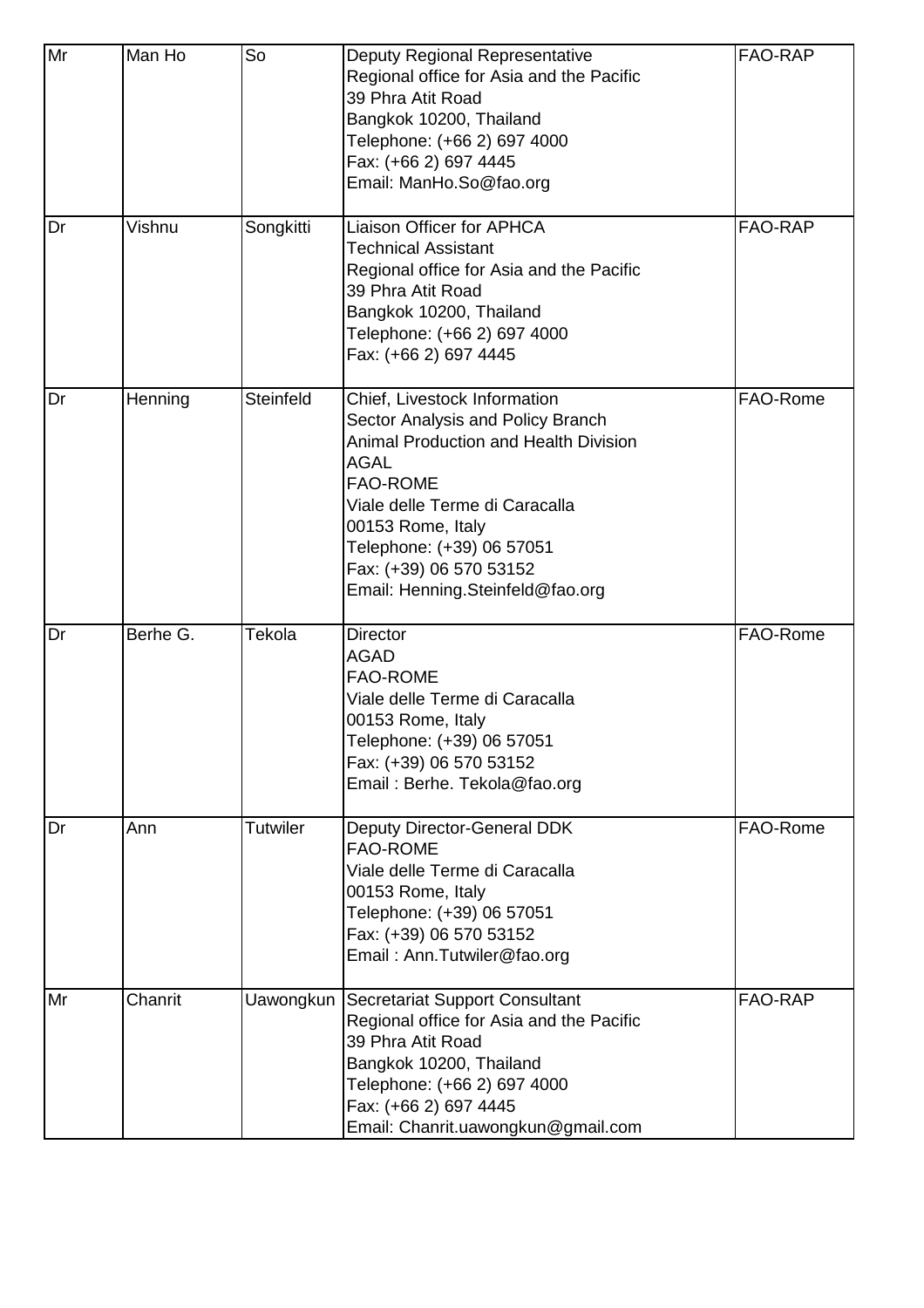| Mr | Man Ho   | So        | Deputy Regional Representative<br>Regional office for Asia and the Pacific<br>39 Phra Atit Road<br>Bangkok 10200, Thailand<br>Telephone: (+66 2) 697 4000<br>Fax: (+66 2) 697 4445<br>Email: ManHo.So@fao.org                                                                                          | FAO-RAP  |
|----|----------|-----------|--------------------------------------------------------------------------------------------------------------------------------------------------------------------------------------------------------------------------------------------------------------------------------------------------------|----------|
| Dr | Vishnu   | Songkitti | Liaison Officer for APHCA<br><b>Technical Assistant</b><br>Regional office for Asia and the Pacific<br>39 Phra Atit Road<br>Bangkok 10200, Thailand<br>Telephone: (+66 2) 697 4000<br>Fax: (+66 2) 697 4445                                                                                            | FAO-RAP  |
| Dr | Henning  | Steinfeld | Chief, Livestock Information<br>Sector Analysis and Policy Branch<br><b>Animal Production and Health Division</b><br><b>AGAL</b><br><b>FAO-ROME</b><br>Viale delle Terme di Caracalla<br>00153 Rome, Italy<br>Telephone: (+39) 06 57051<br>Fax: (+39) 06 570 53152<br>Email: Henning.Steinfeld@fao.org | FAO-Rome |
| Dr | Berhe G. | Tekola    | <b>Director</b><br><b>AGAD</b><br>FAO-ROME<br>Viale delle Terme di Caracalla<br>00153 Rome, Italy<br>Telephone: (+39) 06 57051<br>Fax: (+39) 06 570 53152<br>Email: Berhe. Tekola@fao.org                                                                                                              | FAO-Rome |
| Dr | Ann      | Tutwiler  | Deputy Director-General DDK<br><b>FAO-ROME</b><br>Viale delle Terme di Caracalla<br>00153 Rome, Italy<br>Telephone: (+39) 06 57051<br>Fax: (+39) 06 570 53152<br>Email: Ann.Tutwiler@fao.org                                                                                                           | FAO-Rome |
| Mr | Chanrit  | Uawongkun | Secretariat Support Consultant<br>Regional office for Asia and the Pacific<br>39 Phra Atit Road<br>Bangkok 10200, Thailand<br>Telephone: (+66 2) 697 4000<br>Fax: (+66 2) 697 4445<br>Email: Chanrit.uawongkun@gmail.com                                                                               | FAO-RAP  |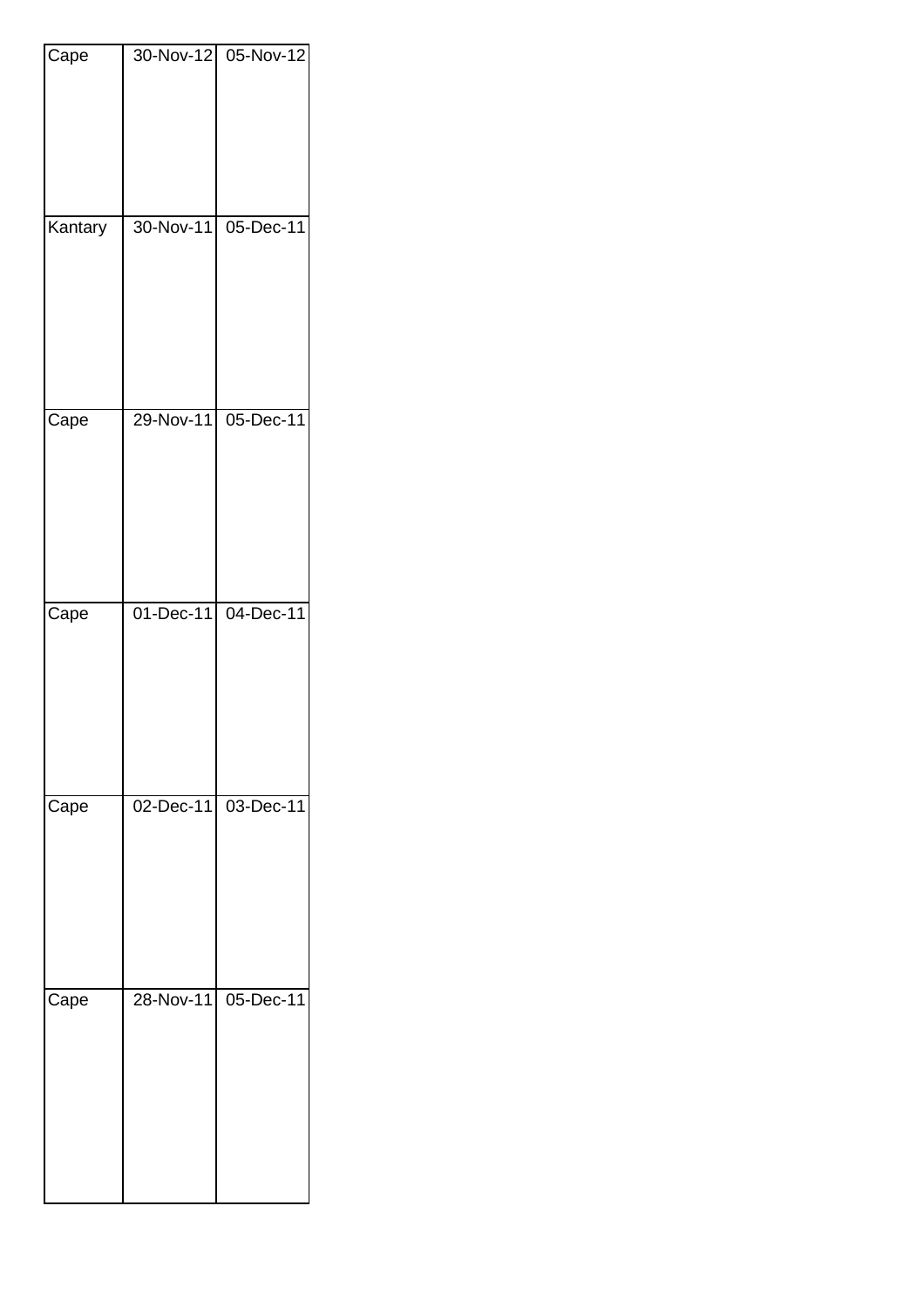| Cape    |           | 30-Nov-12 05-Nov-12     |
|---------|-----------|-------------------------|
|         |           |                         |
| Kantary | 30-Nov-11 | $\overline{05}$ -Dec-11 |
| Cape    | 29-Nov-11 | $05$ -Dec-11            |
| Cape    | 01-Dec-11 | 04-Dec-11               |
| Cape    | 02-Dec-11 | 03-Dec-11               |
|         |           |                         |
| Cape    | 28-Nov-11 | $05$ -Dec-11            |
|         |           |                         |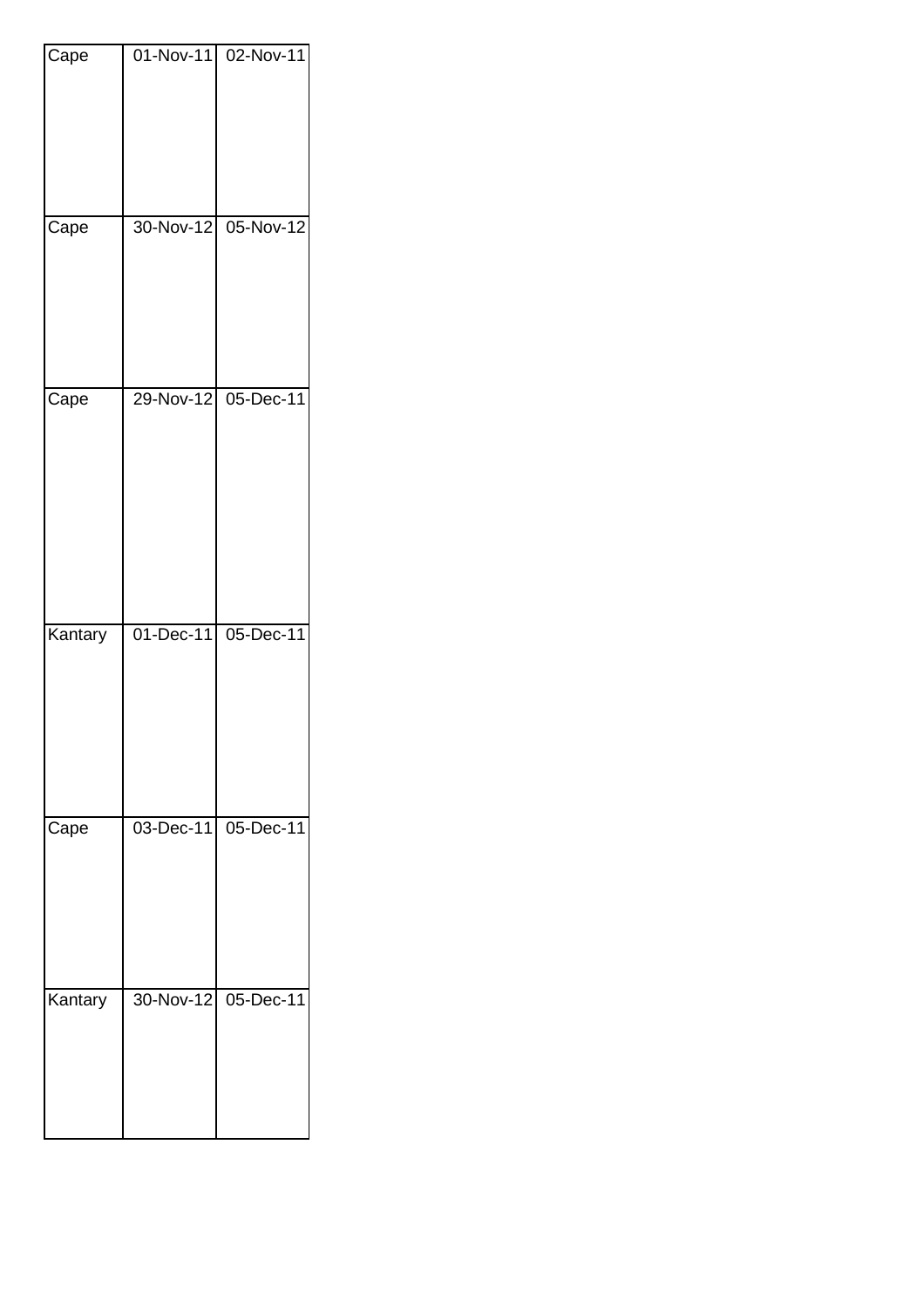| Cape    | $01 - Nov-11$ | 02-Nov-11    |
|---------|---------------|--------------|
|         |               |              |
|         |               |              |
|         |               |              |
|         |               |              |
| Cape    | 30-Nov-12     | 05-Nov-12    |
|         |               |              |
|         |               |              |
|         |               |              |
|         |               |              |
|         |               |              |
| Cape    | 29-Nov-12     | 05-Dec-11    |
|         |               |              |
|         |               |              |
|         |               |              |
|         |               |              |
|         |               |              |
|         |               |              |
| Kantary | 01-Dec-11     | 05-Dec-11    |
|         |               |              |
|         |               |              |
|         |               |              |
|         |               |              |
|         |               |              |
| Cape    | 03-Dec-11     | $05$ -Dec-11 |
|         |               |              |
|         |               |              |
|         |               |              |
|         |               |              |
|         |               |              |
| Kantary | 30-Nov-12     | $05$ -Dec-11 |
|         |               |              |
|         |               |              |
|         |               |              |
|         |               |              |